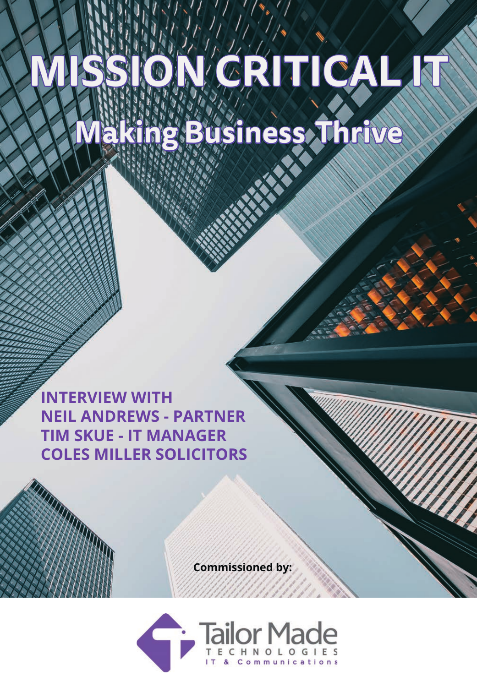# **MISSION CRITICAL IT Business Thriv**

**INTERVIEW WITH NEIL ANDREWS - PARTNER TIM SKUE - IT MANAGER COLES MILLER SOLICITORS**

 **Commissioned by:**

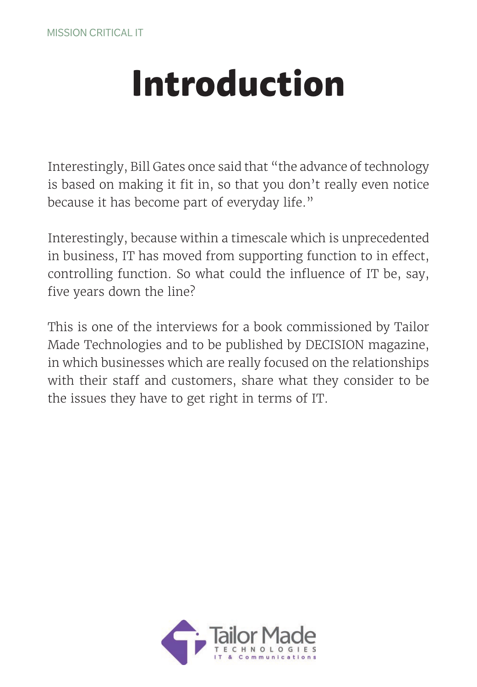### **Introduction**

Interestingly, Bill Gates once said that "the advance of technology is based on making it fit in, so that you don't really even notice because it has become part of everyday life."

Interestingly, because within a timescale which is unprecedented in business, IT has moved from supporting function to in effect, controlling function. So what could the influence of IT be, say, five years down the line?

This is one of the interviews for a book commissioned by Tailor Made Technologies and to be published by DECISION magazine, in which businesses which are really focused on the relationships with their staff and customers, share what they consider to be the issues they have to get right in terms of IT.

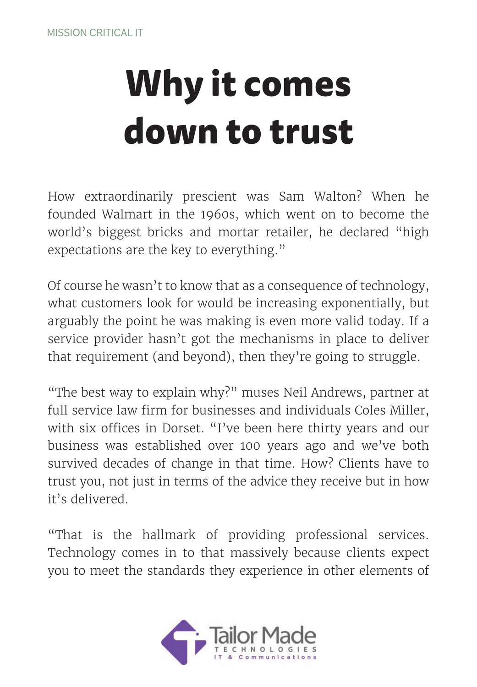## **Why it comes down to trust**

How extraordinarily prescient was Sam Walton? When he founded Walmart in the 1960s, which went on to become the world's biggest bricks and mortar retailer, he declared "high expectations are the key to everything."

Of course he wasn't to know that as a consequence of technology, what customers look for would be increasing exponentially, but arguably the point he was making is even more valid today. If a service provider hasn't got the mechanisms in place to deliver that requirement (and beyond), then they're going to struggle.

"The best way to explain why?" muses Neil Andrews, partner at full service law firm for businesses and individuals Coles Miller, with six offices in Dorset. "I've been here thirty years and our business was established over 100 years ago and we've both survived decades of change in that time. How? Clients have to trust you, not just in terms of the advice they receive but in how it's delivered.

"That is the hallmark of providing professional services. Technology comes in to that massively because clients expect you to meet the standards they experience in other elements of

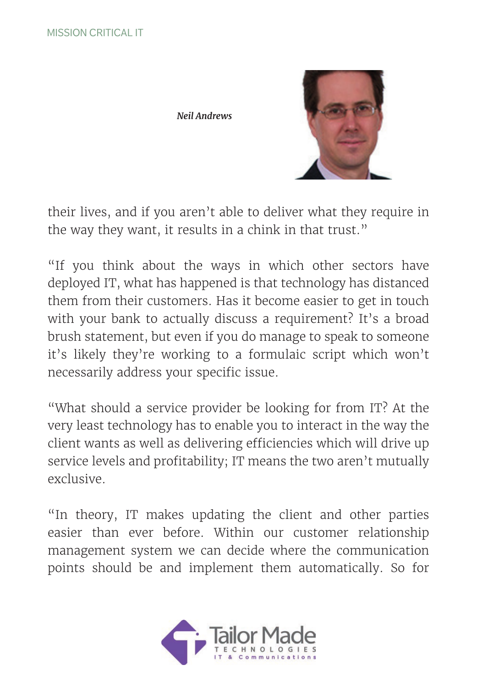*Neil Andrews*



their lives, and if you aren't able to deliver what they require in the way they want, it results in a chink in that trust."

"If you think about the ways in which other sectors have deployed IT, what has happened is that technology has distanced them from their customers. Has it become easier to get in touch with your bank to actually discuss a requirement? It's a broad brush statement, but even if you do manage to speak to someone it's likely they're working to a formulaic script which won't necessarily address your specific issue.

"What should a service provider be looking for from IT? At the very least technology has to enable you to interact in the way the client wants as well as delivering efficiencies which will drive up service levels and profitability; IT means the two aren't mutually exclusive.

"In theory, IT makes updating the client and other parties easier than ever before. Within our customer relationship management system we can decide where the communication points should be and implement them automatically. So for

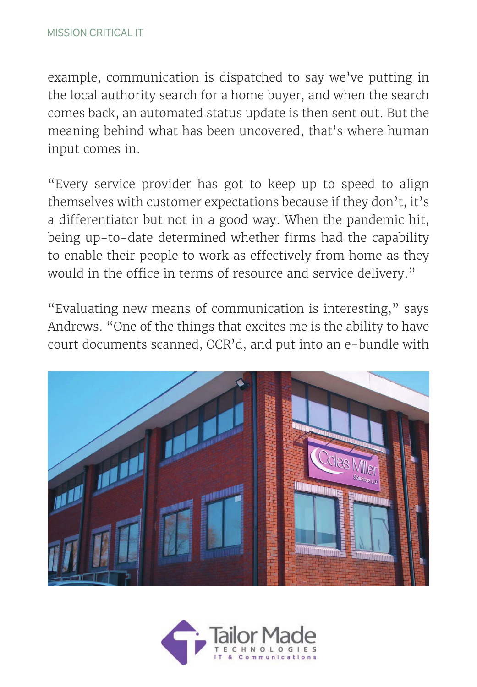example, communication is dispatched to say we've putting in the local authority search for a home buyer, and when the search comes back, an automated status update is then sent out. But the meaning behind what has been uncovered, that's where human input comes in.

"Every service provider has got to keep up to speed to align themselves with customer expectations because if they don't, it's a differentiator but not in a good way. When the pandemic hit, being up-to-date determined whether firms had the capability to enable their people to work as effectively from home as they would in the office in terms of resource and service delivery."

"Evaluating new means of communication is interesting," says Andrews. "One of the things that excites me is the ability to have court documents scanned, OCR'd, and put into an e-bundle with



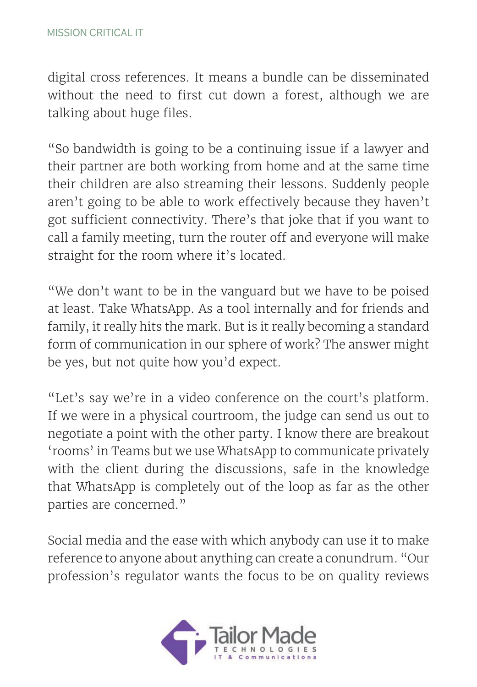digital cross references. It means a bundle can be disseminated without the need to first cut down a forest, although we are talking about huge files.

"So bandwidth is going to be a continuing issue if a lawyer and their partner are both working from home and at the same time their children are also streaming their lessons. Suddenly people aren't going to be able to work effectively because they haven't got sufficient connectivity. There's that joke that if you want to call a family meeting, turn the router off and everyone will make straight for the room where it's located.

"We don't want to be in the vanguard but we have to be poised at least. Take WhatsApp. As a tool internally and for friends and family, it really hits the mark. But is it really becoming a standard form of communication in our sphere of work? The answer might be yes, but not quite how you'd expect.

"Let's say we're in a video conference on the court's platform. If we were in a physical courtroom, the judge can send us out to negotiate a point with the other party. I know there are breakout 'rooms' in Teams but we use WhatsApp to communicate privately with the client during the discussions, safe in the knowledge that WhatsApp is completely out of the loop as far as the other parties are concerned."

Social media and the ease with which anybody can use it to make reference to anyone about anything can create a conundrum. "Our profession's regulator wants the focus to be on quality reviews

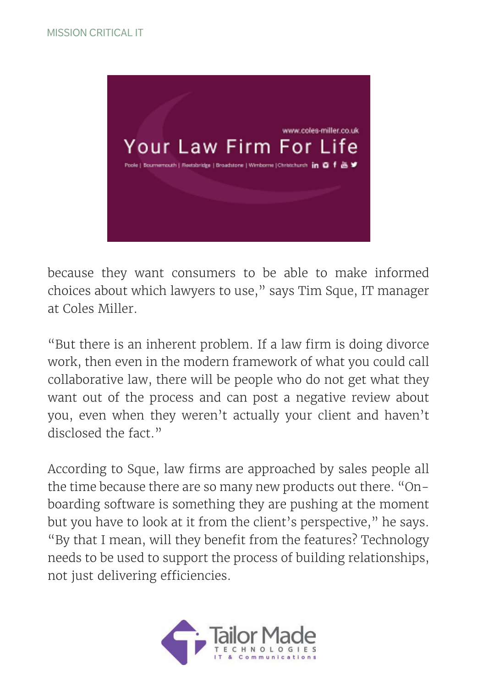

because they want consumers to be able to make informed choices about which lawyers to use," says Tim Sque, IT manager at Coles Miller.

"But there is an inherent problem. If a law firm is doing divorce work, then even in the modern framework of what you could call collaborative law, there will be people who do not get what they want out of the process and can post a negative review about you, even when they weren't actually your client and haven't disclosed the fact."

According to Sque, law firms are approached by sales people all the time because there are so many new products out there. "Onboarding software is something they are pushing at the moment but you have to look at it from the client's perspective," he says. "By that I mean, will they benefit from the features? Technology needs to be used to support the process of building relationships, not just delivering efficiencies.

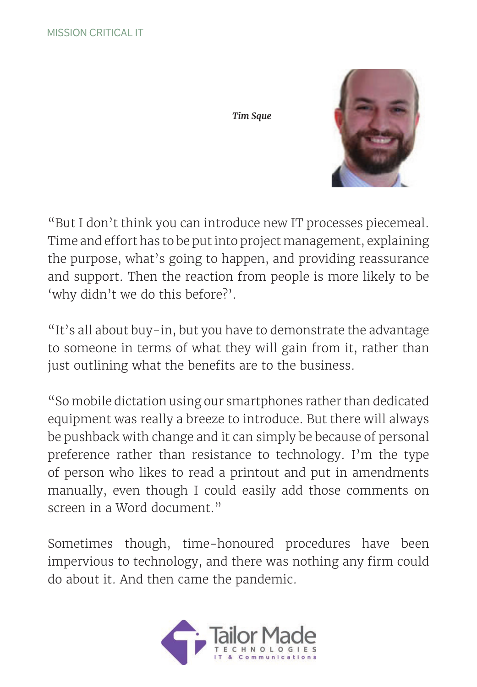*Tim Sque*



"But I don't think you can introduce new IT processes piecemeal. Time and effort has to be put into project management, explaining the purpose, what's going to happen, and providing reassurance and support. Then the reaction from people is more likely to be 'why didn't we do this before?'.

"It's all about buy-in, but you have to demonstrate the advantage to someone in terms of what they will gain from it, rather than just outlining what the benefits are to the business.

"So mobile dictation using our smartphones rather than dedicated equipment was really a breeze to introduce. But there will always be pushback with change and it can simply be because of personal preference rather than resistance to technology. I'm the type of person who likes to read a printout and put in amendments manually, even though I could easily add those comments on screen in a Word document."

Sometimes though, time-honoured procedures have been impervious to technology, and there was nothing any firm could do about it. And then came the pandemic.

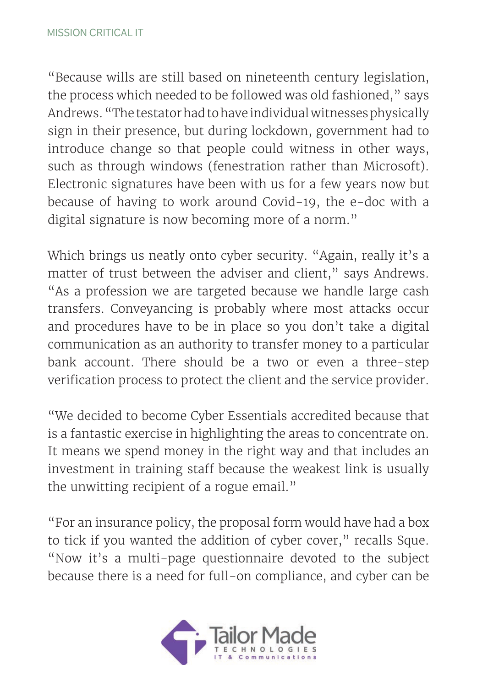"Because wills are still based on nineteenth century legislation, the process which needed to be followed was old fashioned," says Andrews. "The testator had to have individual witnesses physically sign in their presence, but during lockdown, government had to introduce change so that people could witness in other ways, such as through windows (fenestration rather than Microsoft). Electronic signatures have been with us for a few years now but because of having to work around Covid-19, the e-doc with a digital signature is now becoming more of a norm."

Which brings us neatly onto cyber security. "Again, really it's a matter of trust between the adviser and client," says Andrews. "As a profession we are targeted because we handle large cash transfers. Conveyancing is probably where most attacks occur and procedures have to be in place so you don't take a digital communication as an authority to transfer money to a particular bank account. There should be a two or even a three-step verification process to protect the client and the service provider.

"We decided to become Cyber Essentials accredited because that is a fantastic exercise in highlighting the areas to concentrate on. It means we spend money in the right way and that includes an investment in training staff because the weakest link is usually the unwitting recipient of a rogue email."

"For an insurance policy, the proposal form would have had a box to tick if you wanted the addition of cyber cover," recalls Sque. "Now it's a multi-page questionnaire devoted to the subject because there is a need for full-on compliance, and cyber can be

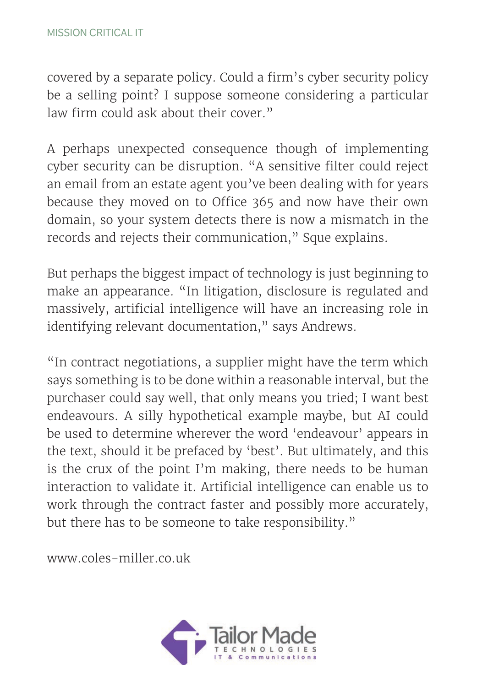covered by a separate policy. Could a firm's cyber security policy be a selling point? I suppose someone considering a particular law firm could ask about their cover."

A perhaps unexpected consequence though of implementing cyber security can be disruption. "A sensitive filter could reject an email from an estate agent you've been dealing with for years because they moved on to Office 365 and now have their own domain, so your system detects there is now a mismatch in the records and rejects their communication," Sque explains.

But perhaps the biggest impact of technology is just beginning to make an appearance. "In litigation, disclosure is regulated and massively, artificial intelligence will have an increasing role in identifying relevant documentation," says Andrews.

"In contract negotiations, a supplier might have the term which says something is to be done within a reasonable interval, but the purchaser could say well, that only means you tried; I want best endeavours. A silly hypothetical example maybe, but AI could be used to determine wherever the word 'endeavour' appears in the text, should it be prefaced by 'best'. But ultimately, and this is the crux of the point I'm making, there needs to be human interaction to validate it. Artificial intelligence can enable us to work through the contract faster and possibly more accurately, but there has to be someone to take responsibility."

www.coles-miller.co.uk